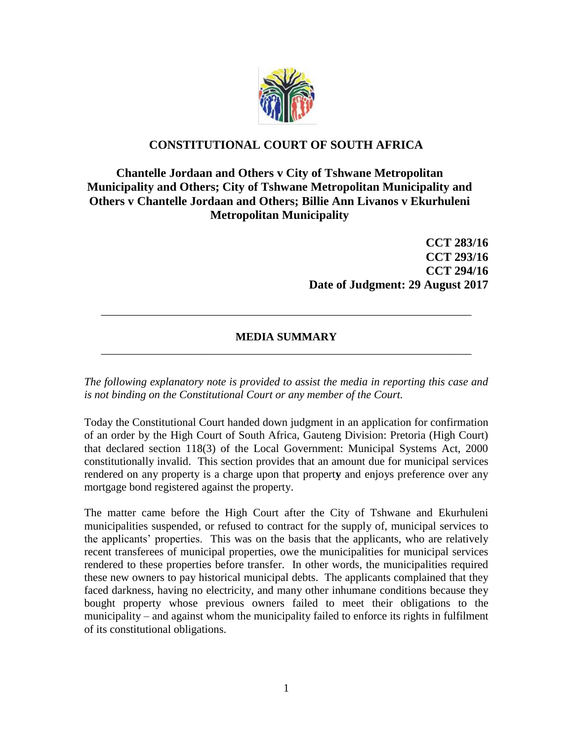

## **CONSTITUTIONAL COURT OF SOUTH AFRICA**

## **Chantelle Jordaan and Others v City of Tshwane Metropolitan Municipality and Others; City of Tshwane Metropolitan Municipality and Others v Chantelle Jordaan and Others; Billie Ann Livanos v Ekurhuleni Metropolitan Municipality**

**CCT 283/16 CCT 293/16 CCT 294/16 Date of Judgment: 29 August 2017**

## **MEDIA SUMMARY** \_\_\_\_\_\_\_\_\_\_\_\_\_\_\_\_\_\_\_\_\_\_\_\_\_\_\_\_\_\_\_\_\_\_\_\_\_\_\_\_\_\_\_\_\_\_\_\_\_\_\_\_\_\_\_\_\_\_\_\_\_\_\_\_\_\_

\_\_\_\_\_\_\_\_\_\_\_\_\_\_\_\_\_\_\_\_\_\_\_\_\_\_\_\_\_\_\_\_\_\_\_\_\_\_\_\_\_\_\_\_\_\_\_\_\_\_\_\_\_\_\_\_\_\_\_\_\_\_\_\_\_\_

*The following explanatory note is provided to assist the media in reporting this case and is not binding on the Constitutional Court or any member of the Court.*

Today the Constitutional Court handed down judgment in an application for confirmation of an order by the High Court of South Africa, Gauteng Division: Pretoria (High Court) that declared section 118(3) of the Local Government: Municipal Systems Act, 2000 constitutionally invalid. This section provides that an amount due for municipal services rendered on any property is a charge upon that propert**y** and enjoys preference over any mortgage bond registered against the property.

The matter came before the High Court after the City of Tshwane and Ekurhuleni municipalities suspended, or refused to contract for the supply of, municipal services to the applicants' properties. This was on the basis that the applicants, who are relatively recent transferees of municipal properties, owe the municipalities for municipal services rendered to these properties before transfer. In other words, the municipalities required these new owners to pay historical municipal debts. The applicants complained that they faced darkness, having no electricity, and many other inhumane conditions because they bought property whose previous owners failed to meet their obligations to the municipality – and against whom the municipality failed to enforce its rights in fulfilment of its constitutional obligations.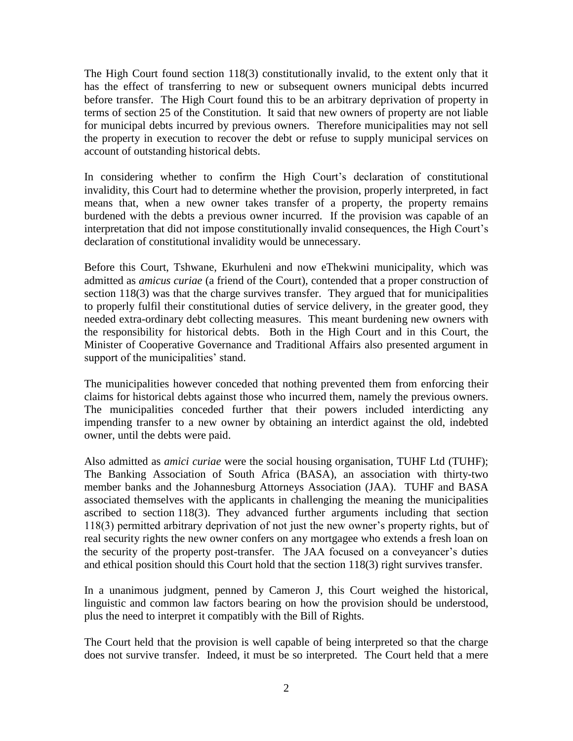The High Court found section 118(3) constitutionally invalid, to the extent only that it has the effect of transferring to new or subsequent owners municipal debts incurred before transfer. The High Court found this to be an arbitrary deprivation of property in terms of section 25 of the Constitution. It said that new owners of property are not liable for municipal debts incurred by previous owners. Therefore municipalities may not sell the property in execution to recover the debt or refuse to supply municipal services on account of outstanding historical debts.

In considering whether to confirm the High Court's declaration of constitutional invalidity, this Court had to determine whether the provision, properly interpreted, in fact means that, when a new owner takes transfer of a property, the property remains burdened with the debts a previous owner incurred. If the provision was capable of an interpretation that did not impose constitutionally invalid consequences, the High Court's declaration of constitutional invalidity would be unnecessary.

Before this Court, Tshwane, Ekurhuleni and now eThekwini municipality, which was admitted as *amicus curiae* (a friend of the Court), contended that a proper construction of section 118(3) was that the charge survives transfer. They argued that for municipalities to properly fulfil their constitutional duties of service delivery, in the greater good, they needed extra-ordinary debt collecting measures. This meant burdening new owners with the responsibility for historical debts. Both in the High Court and in this Court, the Minister of Cooperative Governance and Traditional Affairs also presented argument in support of the municipalities' stand.

The municipalities however conceded that nothing prevented them from enforcing their claims for historical debts against those who incurred them, namely the previous owners. The municipalities conceded further that their powers included interdicting any impending transfer to a new owner by obtaining an interdict against the old, indebted owner, until the debts were paid.

Also admitted as *amici curiae* were the social housing organisation, TUHF Ltd (TUHF); The Banking Association of South Africa (BASA), an association with thirty-two member banks and the Johannesburg Attorneys Association (JAA). TUHF and BASA associated themselves with the applicants in challenging the meaning the municipalities ascribed to section 118(3). They advanced further arguments including that section 118(3) permitted arbitrary deprivation of not just the new owner's property rights, but of real security rights the new owner confers on any mortgagee who extends a fresh loan on the security of the property post-transfer. The JAA focused on a conveyancer's duties and ethical position should this Court hold that the section 118(3) right survives transfer.

In a unanimous judgment, penned by Cameron J, this Court weighed the historical, linguistic and common law factors bearing on how the provision should be understood, plus the need to interpret it compatibly with the Bill of Rights.

The Court held that the provision is well capable of being interpreted so that the charge does not survive transfer. Indeed, it must be so interpreted. The Court held that a mere